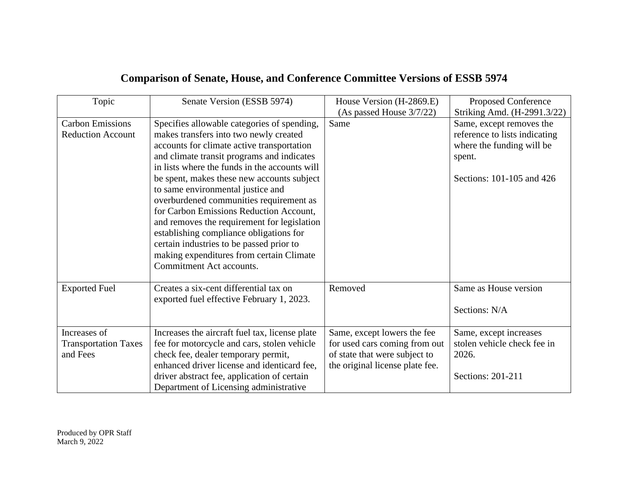| Topic                       | Senate Version (ESSB 5974)                     | House Version (H-2869.E)        | Proposed Conference           |
|-----------------------------|------------------------------------------------|---------------------------------|-------------------------------|
|                             |                                                | (As passed House 3/7/22)        | Striking Amd. (H-2991.3/22)   |
| <b>Carbon Emissions</b>     | Specifies allowable categories of spending,    | Same                            | Same, except removes the      |
| <b>Reduction Account</b>    | makes transfers into two newly created         |                                 | reference to lists indicating |
|                             | accounts for climate active transportation     |                                 | where the funding will be     |
|                             | and climate transit programs and indicates     |                                 | spent.                        |
|                             | in lists where the funds in the accounts will  |                                 |                               |
|                             | be spent, makes these new accounts subject     |                                 | Sections: 101-105 and 426     |
|                             | to same environmental justice and              |                                 |                               |
|                             | overburdened communities requirement as        |                                 |                               |
|                             | for Carbon Emissions Reduction Account,        |                                 |                               |
|                             | and removes the requirement for legislation    |                                 |                               |
|                             | establishing compliance obligations for        |                                 |                               |
|                             | certain industries to be passed prior to       |                                 |                               |
|                             | making expenditures from certain Climate       |                                 |                               |
|                             | Commitment Act accounts.                       |                                 |                               |
|                             |                                                |                                 |                               |
| <b>Exported Fuel</b>        | Creates a six-cent differential tax on         | Removed                         | Same as House version         |
|                             | exported fuel effective February 1, 2023.      |                                 |                               |
|                             |                                                |                                 | Sections: N/A                 |
|                             |                                                |                                 |                               |
| Increases of                | Increases the aircraft fuel tax, license plate | Same, except lowers the fee     | Same, except increases        |
| <b>Transportation Taxes</b> | fee for motorcycle and cars, stolen vehicle    | for used cars coming from out   | stolen vehicle check fee in   |
| and Fees                    | check fee, dealer temporary permit,            | of state that were subject to   | 2026.                         |
|                             | enhanced driver license and identicard fee,    | the original license plate fee. |                               |
|                             | driver abstract fee, application of certain    |                                 | Sections: 201-211             |
|                             |                                                |                                 |                               |

## **Comparison of Senate, House, and Conference Committee Versions of ESSB 5974**

Produced by OPR Staff March 9, 2022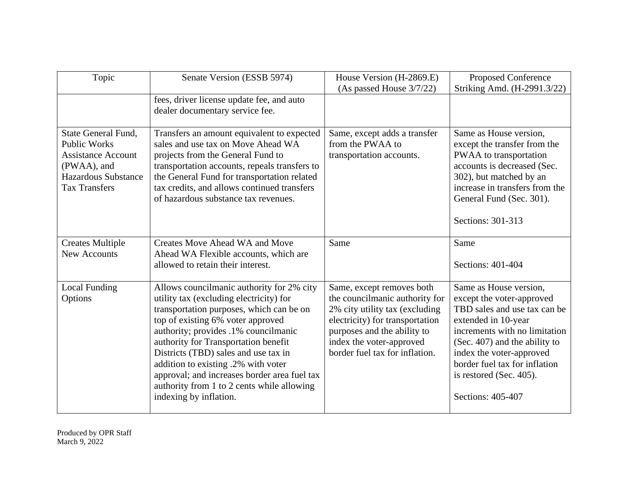| Topic                                                                                                                                        | Senate Version (ESSB 5974)                                                                                                                                                                                                                                                                                                                                                                                                                                   | House Version (H-2869.E)<br>(As passed House $3/7/22$ )                                                                                                                                                                       | Proposed Conference<br>Striking Amd. (H-2991.3/22)                                                                                                                                                                                                                                        |
|----------------------------------------------------------------------------------------------------------------------------------------------|--------------------------------------------------------------------------------------------------------------------------------------------------------------------------------------------------------------------------------------------------------------------------------------------------------------------------------------------------------------------------------------------------------------------------------------------------------------|-------------------------------------------------------------------------------------------------------------------------------------------------------------------------------------------------------------------------------|-------------------------------------------------------------------------------------------------------------------------------------------------------------------------------------------------------------------------------------------------------------------------------------------|
|                                                                                                                                              | fees, driver license update fee, and auto<br>dealer documentary service fee.                                                                                                                                                                                                                                                                                                                                                                                 |                                                                                                                                                                                                                               |                                                                                                                                                                                                                                                                                           |
| State General Fund,<br><b>Public Works</b><br><b>Assistance Account</b><br>(PWAA), and<br><b>Hazardous Substance</b><br><b>Tax Transfers</b> | Transfers an amount equivalent to expected<br>sales and use tax on Move Ahead WA<br>projects from the General Fund to<br>transportation accounts, repeals transfers to<br>the General Fund for transportation related<br>tax credits, and allows continued transfers<br>of hazardous substance tax revenues.                                                                                                                                                 | Same, except adds a transfer<br>from the PWAA to<br>transportation accounts.                                                                                                                                                  | Same as House version,<br>except the transfer from the<br>PWAA to transportation<br>accounts is decreased (Sec.<br>302), but matched by an<br>increase in transfers from the<br>General Fund (Sec. 301).<br>Sections: 301-313                                                             |
| <b>Creates Multiple</b><br><b>New Accounts</b>                                                                                               | <b>Creates Move Ahead WA and Move</b><br>Ahead WA Flexible accounts, which are<br>allowed to retain their interest.                                                                                                                                                                                                                                                                                                                                          | Same                                                                                                                                                                                                                          | Same<br>Sections: 401-404                                                                                                                                                                                                                                                                 |
| <b>Local Funding</b><br>Options                                                                                                              | Allows councilmanic authority for 2% city<br>utility tax (excluding electricity) for<br>transportation purposes, which can be on<br>top of existing 6% voter approved<br>authority; provides .1% councilmanic<br>authority for Transportation benefit<br>Districts (TBD) sales and use tax in<br>addition to existing .2% with voter<br>approval; and increases border area fuel tax<br>authority from 1 to 2 cents while allowing<br>indexing by inflation. | Same, except removes both<br>the councilmanic authority for<br>2% city utility tax (excluding<br>electricity) for transportation<br>purposes and the ability to<br>index the voter-approved<br>border fuel tax for inflation. | Same as House version,<br>except the voter-approved<br>TBD sales and use tax can be<br>extended in 10-year<br>increments with no limitation<br>(Sec. 407) and the ability to<br>index the voter-approved<br>border fuel tax for inflation<br>is restored (Sec. 405).<br>Sections: 405-407 |

Produced by OPR Staff March 9, 2022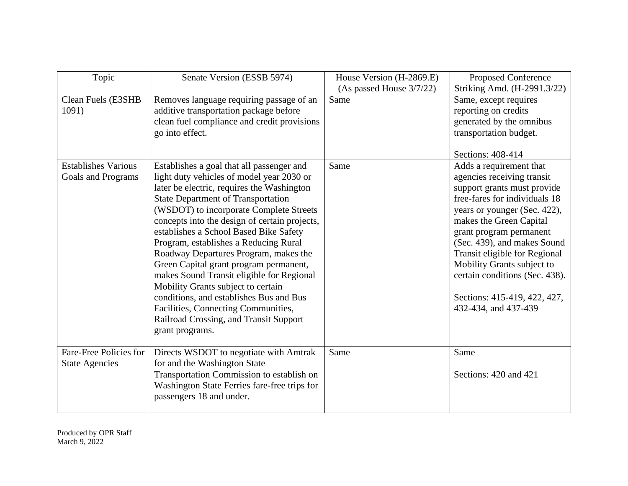| Topic                                            | Senate Version (ESSB 5974)                                                                                                                                                                                                                                                                                                                                                                                                                                                                                                                                                                                                                                                            | House Version (H-2869.E) | Proposed Conference                                                                                                                                                                                                                                                                                                                                                                                 |
|--------------------------------------------------|---------------------------------------------------------------------------------------------------------------------------------------------------------------------------------------------------------------------------------------------------------------------------------------------------------------------------------------------------------------------------------------------------------------------------------------------------------------------------------------------------------------------------------------------------------------------------------------------------------------------------------------------------------------------------------------|--------------------------|-----------------------------------------------------------------------------------------------------------------------------------------------------------------------------------------------------------------------------------------------------------------------------------------------------------------------------------------------------------------------------------------------------|
|                                                  |                                                                                                                                                                                                                                                                                                                                                                                                                                                                                                                                                                                                                                                                                       | (As passed House 3/7/22) | Striking Amd. (H-2991.3/22)                                                                                                                                                                                                                                                                                                                                                                         |
| Clean Fuels (E3SHB<br>1091)                      | Removes language requiring passage of an<br>additive transportation package before<br>clean fuel compliance and credit provisions<br>go into effect.                                                                                                                                                                                                                                                                                                                                                                                                                                                                                                                                  | Same                     | Same, except requires<br>reporting on credits<br>generated by the omnibus<br>transportation budget.<br>Sections: 408-414                                                                                                                                                                                                                                                                            |
| <b>Establishes Various</b><br>Goals and Programs | Establishes a goal that all passenger and<br>light duty vehicles of model year 2030 or<br>later be electric, requires the Washington<br><b>State Department of Transportation</b><br>(WSDOT) to incorporate Complete Streets<br>concepts into the design of certain projects,<br>establishes a School Based Bike Safety<br>Program, establishes a Reducing Rural<br>Roadway Departures Program, makes the<br>Green Capital grant program permanent,<br>makes Sound Transit eligible for Regional<br>Mobility Grants subject to certain<br>conditions, and establishes Bus and Bus<br>Facilities, Connecting Communities,<br>Railroad Crossing, and Transit Support<br>grant programs. | Same                     | Adds a requirement that<br>agencies receiving transit<br>support grants must provide<br>free-fares for individuals 18<br>years or younger (Sec. 422),<br>makes the Green Capital<br>grant program permanent<br>(Sec. 439), and makes Sound<br>Transit eligible for Regional<br>Mobility Grants subject to<br>certain conditions (Sec. 438).<br>Sections: 415-419, 422, 427,<br>432-434, and 437-439 |
| Fare-Free Policies for<br><b>State Agencies</b>  | Directs WSDOT to negotiate with Amtrak<br>for and the Washington State<br>Transportation Commission to establish on<br>Washington State Ferries fare-free trips for<br>passengers 18 and under.                                                                                                                                                                                                                                                                                                                                                                                                                                                                                       | Same                     | Same<br>Sections: 420 and 421                                                                                                                                                                                                                                                                                                                                                                       |

Produced by OPR Staff March 9, 2022